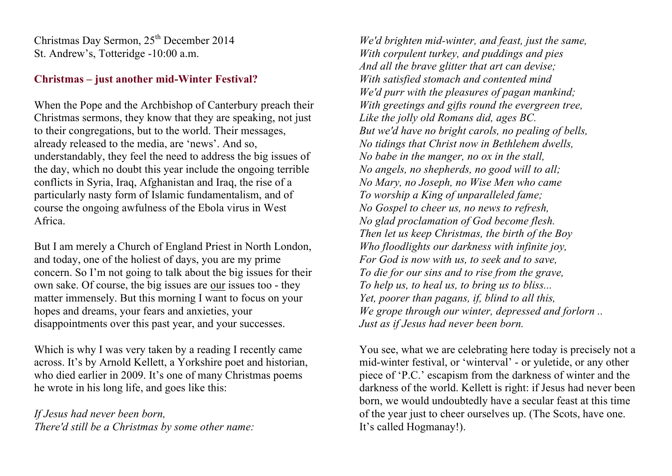Christmas Day Sermon, 25<sup>th</sup> December 2014 St. Andrew's, Totteridge -10:00 a.m.

#### **Christmas – just another mid-Winter Festival?**

When the Pope and the Archbishop of Canterbury preach their Christmas sermons, they know that they are speaking, not just to their congregations, but to the world. Their messages, already released to the media, are 'news'. And so, understandably, they feel the need to address the big issues of the day, which no doubt this year include the ongoing terrible conflicts in Syria, Iraq, Afghanistan and Iraq, the rise of a particularly nasty form of Islamic fundamentalism, and of course the ongoing awfulness of the Ebola virus in West Africa.

But I am merely a Church of England Priest in North London, and today, one of the holiest of days, you are my prime concern. So I'm not going to talk about the big issues for their own sake. Of course, the big issues are our issues too - they matter immensely. But this morning I want to focus on your hopes and dreams, your fears and anxieties, your disappointments over this past year, and your successes.

Which is why I was very taken by a reading I recently came across. It's by Arnold Kellett, a Yorkshire poet and historian, who died earlier in 2009. It's one of many Christmas poems he wrote in his long life, and goes like this:

*If Jesus had never been born, There'd still be a Christmas by some other name:* 

*We'd brighten mid-winter, and feast, just the same, With corpulent turkey, and puddings and pies And all the brave glitter that art can devise; With satisfied stomach and contented mind We'd purr with the pleasures of pagan mankind; With greetings and gifts round the evergreen tree, Like the jolly old Romans did, ages BC. But we'd have no bright carols, no pealing of bells, No tidings that Christ now in Bethlehem dwells, No babe in the manger, no ox in the stall, No angels, no shepherds, no good will to all; No Mary, no Joseph, no Wise Men who came To worship a King of unparalleled fame; No Gospel to cheer us, no news to refresh, No glad proclamation of God become flesh. Then let us keep Christmas, the birth of the Boy Who floodlights our darkness with infinite joy, For God is now with us, to seek and to save, To die for our sins and to rise from the grave, To help us, to heal us, to bring us to bliss... Yet, poorer than pagans, if, blind to all this, We grope through our winter, depressed and forlorn .. Just as if Jesus had never been born.*

You see, what we are celebrating here today is precisely not a mid-winter festival, or 'winterval' - or yuletide, or any other piece of 'P.C.' escapism from the darkness of winter and the darkness of the world. Kellett is right: if Jesus had never been born, we would undoubtedly have a secular feast at this time of the year just to cheer ourselves up. (The Scots, have one. It's called Hogmanay!).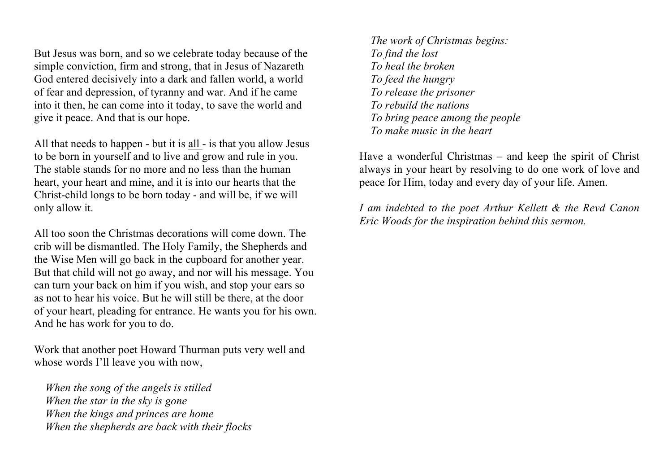But Jesus was born, and so we celebrate today because of the simple conviction, firm and strong, that in Jesus of Nazareth God entered decisively into a dark and fallen world, a world of fear and depression, of tyranny and war. And if he came into it then, he can come into it today, to save the world and give it peace. And that is our hope.

All that needs to happen - but it is all - is that you allow Jesus to be born in yourself and to live and grow and rule in you. The stable stands for no more and no less than the human heart, your heart and mine, and it is into our hearts that the Christ-child longs to be born today - and will be, if we will only allow it.

All too soon the Christmas decorations will come down. The crib will be dismantled. The Holy Family, the Shepherds and the Wise Men will go back in the cupboard for another year. But that child will not go away, and nor will his message. You can turn your back on him if you wish, and stop your ears so as not to hear his voice. But he will still be there, at the door of your heart, pleading for entrance. He wants you for his own. And he has work for you to do.

Work that another poet Howard Thurman puts very well and whose words I'll leave you with now,

*When the song of the angels is stilled When the star in the sky is gone When the kings and princes are home When the shepherds are back with their flocks* *The work of Christmas begins: To find the lost To heal the broken To feed the hungry To release the prisoner To rebuild the nations To bring peace among the people To make music in the heart*

Have a wonderful Christmas – and keep the spirit of Christ always in your heart by resolving to do one work of love and peace for Him, today and every day of your life. Amen.

*I am indebted to the poet Arthur Kellett & the Revd Canon Eric Woods for the inspiration behind this sermon.*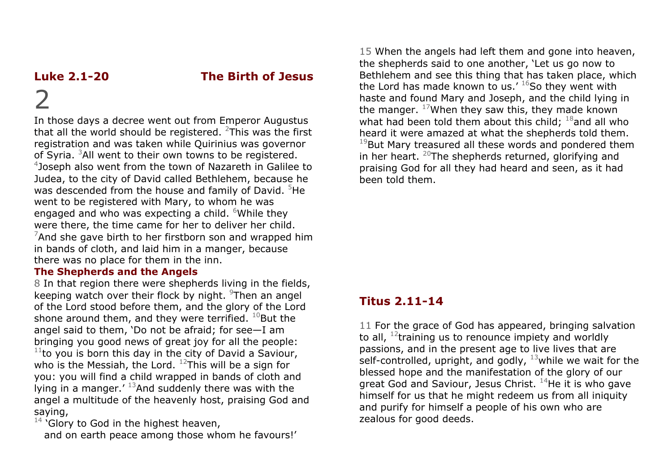### **Luke 2.1-20 The Birth of Jesus**

# 2

In those days a decree went out from Emperor Augustus that all the world should be registered.  $2$ This was the first registration and was taken while Quirinius was governor of Syria. <sup>3</sup>All went to their own towns to be registered. <sup>4</sup>Joseph also went from the town of Nazareth in Galilee to Judea, to the city of David called Bethlehem, because he was descended from the house and family of David. <sup>5</sup>He went to be registered with Mary, to whom he was engaged and who was expecting a child.  $6$  While they were there, the time came for her to deliver her child.  $7$ And she gave birth to her firstborn son and wrapped him in bands of cloth, and laid him in a manger, because there was no place for them in the inn.

#### **The Shepherds and the Angels**

8 In that region there were shepherds living in the fields, keeping watch over their flock by night. <sup>9</sup>Then an angel of the Lord stood before them, and the glory of the Lord shone around them, and they were terrified.  $^{10}$ But the angel said to them, 'Do not be afraid; for see—I am bringing you good news of great joy for all the people:  $11$ to you is born this day in the city of David a Saviour, who is the Messiah, the Lord.  $12$ This will be a sign for you: you will find a child wrapped in bands of cloth and lying in a manger. $13$ And suddenly there was with the angel a multitude of the heavenly host, praising God and saying,

 $14$  'Glory to God in the highest heaven,

and on earth peace among those whom he favours!'

15 When the angels had left them and gone into heaven, the shepherds said to one another, 'Let us go now to Bethlehem and see this thing that has taken place, which the Lord has made known to us.<sup> $16$ </sup>So they went with haste and found Mary and Joseph, and the child lying in the manger.  $17$  When they saw this, they made known what had been told them about this child;  $^{18}$  and all who heard it were amazed at what the shepherds told them.  $19$ But Mary treasured all these words and pondered them in her heart.  $20$ The shepherds returned, glorifying and praising God for all they had heard and seen, as it had been told them.

# **Titus 2.11-14**

11 For the grace of God has appeared, bringing salvation to all,  $^{12}$ training us to renounce impiety and worldly passions, and in the present age to live lives that are self-controlled, upright, and godly,  $^{13}$  while we wait for the blessed hope and the manifestation of the glory of our great God and Saviour, Jesus Christ.  $14$ He it is who gave himself for us that he might redeem us from all iniquity and purify for himself a people of his own who are zealous for good deeds.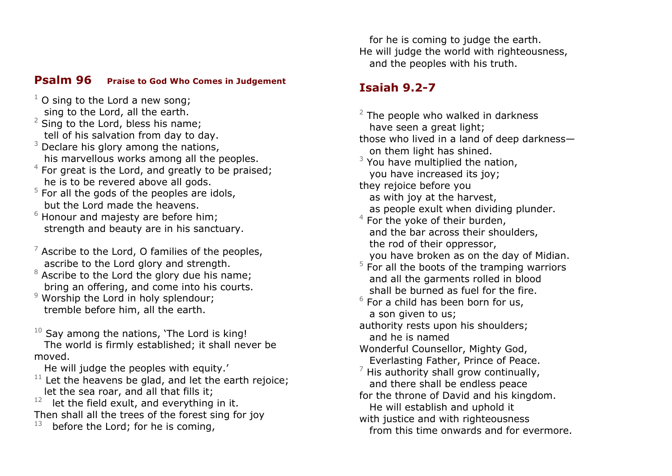#### **Psalm 96 Praise to God Who Comes in Judgement**

- $1$  O sing to the Lord a new song; sing to the Lord, all the earth.
- $2$  Sing to the Lord, bless his name; tell of his salvation from day to day.
- $3$  Declare his glory among the nations, his marvellous works among all the peoples.
- $4$  For great is the Lord, and greatly to be praised; he is to be revered above all gods.
- $5$  For all the gods of the peoples are idols, but the Lord made the heavens.
- $6$  Honour and majesty are before him; strength and beauty are in his sanctuary.
- $<sup>7</sup>$  Ascribe to the Lord, O families of the peoples,</sup> ascribe to the Lord glory and strength.
- $8$  Ascribe to the Lord the glory due his name; bring an offering, and come into his courts.
- <sup>9</sup> Worship the Lord in holy splendour; tremble before him, all the earth.
- $10$  Say among the nations, 'The Lord is king! The world is firmly established; it shall never be moved.
- He will judge the peoples with equity.'
- $11$  Let the heavens be glad, and let the earth rejoice; let the sea roar, and all that fills it;<br> $\frac{12}{12}$  let the field exult, and everything
- let the field exult, and everything in it.
- Then shall all the trees of the forest sing for joy
- before the Lord; for he is coming,

for he is coming to judge the earth. He will judge the world with righteousness, and the peoples with his truth.

# **Isaiah 9.2-7**

 $2$  The people who walked in darkness have seen a great light; those who lived in a land of deep darkness on them light has shined.  $3$  You have multiplied the nation, you have increased its joy; they rejoice before you as with joy at the harvest, as people exult when dividing plunder.  $4$  For the voke of their burden, and the bar across their shoulders, the rod of their oppressor, you have broken as on the day of Midian.  $5$  For all the boots of the tramping warriors and all the garments rolled in blood shall be burned as fuel for the fire.  $6$  For a child has been born for us, a son given to us; authority rests upon his shoulders; and he is named Wonderful Counsellor, Mighty God, Everlasting Father, Prince of Peace.  $\frac{7}{7}$  His authority shall grow continually, and there shall be endless peace for the throne of David and his kingdom. He will establish and uphold it with justice and with righteousness from this time onwards and for evermore.